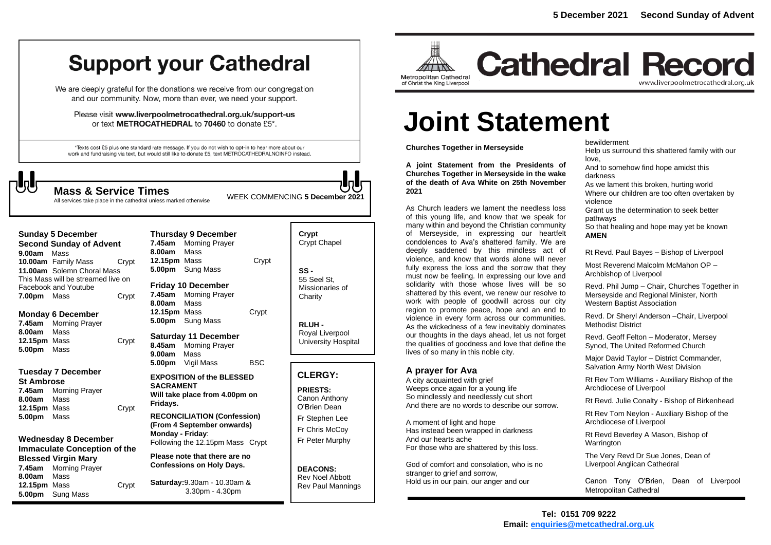## **Support your Cathedral**

We are deeply grateful for the donations we receive from our congregation and our community. Now, more than ever, we need your support.

Please visit www.liverpoolmetrocathedral.org.uk/support-us or text METROCATHEDRAL to 70460 to donate £5\*.

\*Texts cost £5 plus one standard rate message. If you do not wish to opt-in to hear more about our work and fundraising via text, but would still like to donate £5, text METROCATHEDRALNOINFO instead.

**Mass & Service Times**<br>All services take place in the cathedral unless marked otherwise

**Sunday 5 December Second Sunday of Advent 9.00am** Mass **10.00am** Family Mass Crypt **11.00am** Solemn Choral Mass This Mass will be streamed live on Facebook and Youtube **7.00pm** Mass Crypt

**Monday 6 December 7.45am** Morning Prayer **8.00am** Mass **12.15pm** Mass **Crypt 5.00pm** Mass

**Tuesday 7 December**

**St Ambrose 7.45am** Morning Prayer **8.00am** Mass **12.15pm** Mass Crypt **5.00pm** Mass

**Wednesday 8 December Immaculate Conception of the Blessed Virgin Mary 7.45am** Morning Prayer **8.00am** Mass **12.15pm** Mass Crypt **5.00pm** Sung Mass

**Thursday 9 December 7.45am** Morning Prayer **8.00am** Mass **12.15pm** Mass **Crypt 5.00pm** Sung Mass **Friday 10 December**

**7.45am** Morning Prayer **8.00am** Mass **12.15pm** Mass Crypt **5.00pm** Sung Mass

**Saturday 11 December 8.45am** Morning Prayer **9.00am** Mass **5.00pm** Vigil Mass BSC

**EXPOSITION of the BLESSED SACRAMENT Will take place from 4.00pm on Fridays.**

**RECONCILIATION (Confession) (From 4 September onwards) Monday - Friday**: Following the 12.15pm Mass Crypt

**Please note that there are no Confessions on Holy Days.**

**Saturday:**9.30am - 10.30am & 3.30pm - 4.30pm

| Crypt<br><b>Crypt Chapel</b>                      |
|---------------------------------------------------|
| SS -<br>55 Seel St.<br>Missionaries of<br>Charity |

**RLUH -** Royal Liverpool University Hospital

#### **CLERGY:**

**PRIESTS:** Canon Anthony O'Brien *Dean*

Fr Stephen Lee Fr Chris McCoy Fr Peter Murphy

**DEACONS:** Rev Noel Abbott Rev Paul Mannings



**Cathedral Record** www.liverpoolmetrocathedral.org.uk

# **Joint Statement**

**Churches Together in Merseyside** 

**A joint Statement from the Presidents of Churches Together in Merseyside in the wake of the death of Ava White on 25th November 2021**  All services take place in the cathedral unless marked otherwise WEEK COMMENCING **5 December 2021 Time was a services to a service that the cathedral unless marked otherwise** WEEK COMMENCING **5 December 2021 The servic** 

> As Church leaders we lament the needless loss of this young life, and know that we speak for many within and beyond the Christian community of Merseyside, in expressing our heartfelt condolences to Ava's shattered family. We are deeply saddened by this mindless act of violence, and know that words alone will never fully express the loss and the sorrow that they must now be feeling. In expressing our love and solidarity with those whose lives will be so shattered by this event, we renew our resolve to work with people of goodwill across our city region to promote peace, hope and an end to violence in every form across our communities. As the wickedness of a few inevitably dominates our thoughts in the days ahead, let us not forget the qualities of goodness and love that define the lives of so many in this noble city.

#### **A prayer for Ava**

A city acquainted with grief Weeps once again for a young life So mindlessly and needlessly cut short And there are no words to describe our sorrow.

A moment of light and hope Has instead been wrapped in darkness And our hearts ache For those who are shattered by this loss.

God of comfort and consolation, who is no stranger to grief and sorrow. Hold us in our pain, our anger and our

bewilderment Help us surround this shattered family with our love, And to somehow find hope amidst this darkness As we lament this broken, hurting world Where our children are too often overtaken by violence Grant us the determination to seek better pathways So that healing and hope may yet be known **AMEN** 

Rt Revd. Paul Bayes – Bishop of Liverpool

Most Reverend Malcolm McMahon OP – Archbishop of Liverpool

Revd. Phil Jump – Chair, Churches Together in Merseyside and Regional Minister, North Western Baptist Association

Revd. Dr Sheryl Anderson –Chair, Liverpool Methodist District

Revd. Geoff Felton – Moderator, Mersey Synod, The United Reformed Church

Major David Taylor – District Commander, Salvation Army North West Division

Rt Rev Tom Williams - Auxiliary Bishop of the Archdiocese of Liverpool

Rt Revd. Julie Conalty - Bishop of Birkenhead

Rt Rev Tom Neylon - Auxiliary Bishop of the Archdiocese of Liverpool

Rt Revd Beverley A Mason, Bishop of **Warrington** 

The Very Revd Dr Sue Jones, Dean of Liverpool Anglican Cathedral

Canon Tony O'Brien, Dean of Liverpool Metropolitan Cathedral